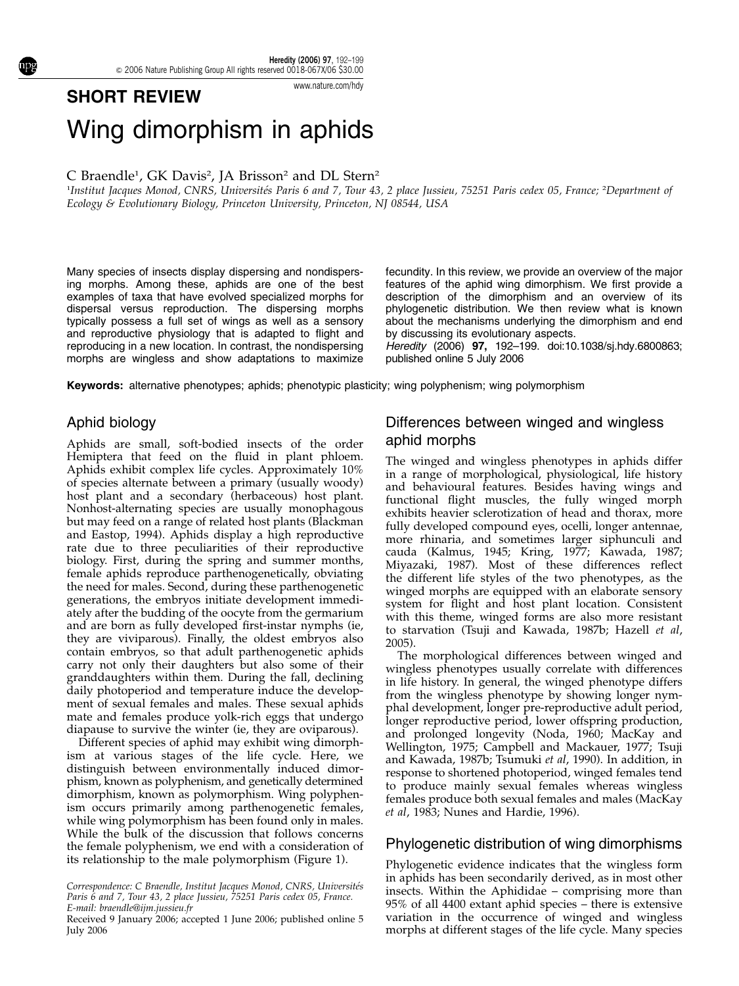#### www.nature.com/hdy

# Wing dimorphism in aphids

SHORT REVIEW

C Braendle<sup>1</sup>, GK Davis<sup>2</sup>, JA Brisson<sup>2</sup> and DL Stern<sup>2</sup>

<sup>1</sup>Institut Jacques Monod, CNRS, Universités Paris 6 and 7, Tour 43, 2 place Jussieu, 75251 Paris cedex 05, France; <sup>2</sup>Department of Ecology & Evolutionary Biology, Princeton University, Princeton, NJ 08544, USA

Many species of insects display dispersing and nondispersing morphs. Among these, aphids are one of the best examples of taxa that have evolved specialized morphs for dispersal versus reproduction. The dispersing morphs typically possess a full set of wings as well as a sensory and reproductive physiology that is adapted to flight and reproducing in a new location. In contrast, the nondispersing morphs are wingless and show adaptations to maximize

fecundity. In this review, we provide an overview of the major features of the aphid wing dimorphism. We first provide a description of the dimorphism and an overview of its phylogenetic distribution. We then review what is known about the mechanisms underlying the dimorphism and end by discussing its evolutionary aspects.

Heredity (2006) 97, 192–199. doi:10.1038/sj.hdy.6800863; published online 5 July 2006

Keywords: alternative phenotypes; aphids; phenotypic plasticity; wing polyphenism; wing polymorphism

#### Aphid biology

Aphids are small, soft-bodied insects of the order Hemiptera that feed on the fluid in plant phloem. Aphids exhibit complex life cycles. Approximately 10% of species alternate between a primary (usually woody) host plant and a secondary (herbaceous) host plant. Nonhost-alternating species are usually monophagous but may feed on a range of related host plants (Blackman and Eastop, 1994). Aphids display a high reproductive rate due to three peculiarities of their reproductive biology. First, during the spring and summer months, female aphids reproduce parthenogenetically, obviating the need for males. Second, during these parthenogenetic generations, the embryos initiate development immediately after the budding of the oocyte from the germarium and are born as fully developed first-instar nymphs (ie, they are viviparous). Finally, the oldest embryos also contain embryos, so that adult parthenogenetic aphids carry not only their daughters but also some of their granddaughters within them. During the fall, declining daily photoperiod and temperature induce the development of sexual females and males. These sexual aphids mate and females produce yolk-rich eggs that undergo diapause to survive the winter (ie, they are oviparous).

Different species of aphid may exhibit wing dimorphism at various stages of the life cycle. Here, we distinguish between environmentally induced dimorphism, known as polyphenism, and genetically determined dimorphism, known as polymorphism. Wing polyphenism occurs primarily among parthenogenetic females, while wing polymorphism has been found only in males. While the bulk of the discussion that follows concerns the female polyphenism, we end with a consideration of its relationship to the male polymorphism (Figure 1).

## Differences between winged and wingless aphid morphs

The winged and wingless phenotypes in aphids differ in a range of morphological, physiological, life history and behavioural features. Besides having wings and functional flight muscles, the fully winged morph exhibits heavier sclerotization of head and thorax, more fully developed compound eyes, ocelli, longer antennae, more rhinaria, and sometimes larger siphunculi and cauda (Kalmus, 1945; Kring, 1977; Kawada, 1987; Miyazaki, 1987). Most of these differences reflect the different life styles of the two phenotypes, as the winged morphs are equipped with an elaborate sensory system for flight and host plant location. Consistent with this theme, winged forms are also more resistant to starvation (Tsuji and Kawada, 1987b; Hazell et al, 2005).

The morphological differences between winged and wingless phenotypes usually correlate with differences in life history. In general, the winged phenotype differs from the wingless phenotype by showing longer nymphal development, longer pre-reproductive adult period, longer reproductive period, lower offspring production, and prolonged longevity (Noda, 1960; MacKay and Wellington, 1975; Campbell and Mackauer, 1977; Tsuji and Kawada, 1987b; Tsumuki et al, 1990). In addition, in response to shortened photoperiod, winged females tend to produce mainly sexual females whereas wingless females produce both sexual females and males (MacKay et al, 1983; Nunes and Hardie, 1996).

#### Phylogenetic distribution of wing dimorphisms

Phylogenetic evidence indicates that the wingless form in aphids has been secondarily derived, as in most other insects. Within the Aphididae – comprising more than 95% of all 4400 extant aphid species – there is extensive variation in the occurrence of winged and wingless Received 9 January 2006; accepted 1 June 2006; published online 5 variation in the occurrence of winged and wingless<br>morphs at different stages of the life cycle. Many species

Correspondence: C Braendle, Institut Jacques Monod, CNRS, Universités Paris 6 and 7, Tour 43, 2 place Jussieu, 75251 Paris cedex 05, France. E-mail: braendle@ijm.jussieu.fr

July 2006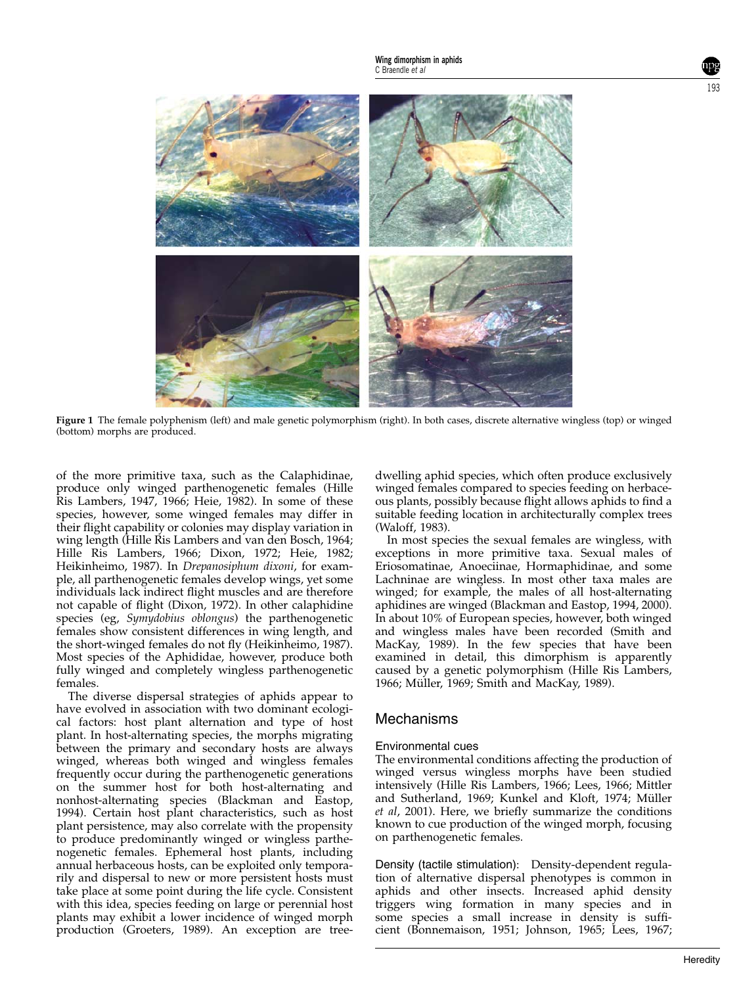

Figure 1 The female polyphenism (left) and male genetic polymorphism (right). In both cases, discrete alternative wingless (top) or winged (bottom) morphs are produced.

of the more primitive taxa, such as the Calaphidinae, produce only winged parthenogenetic females (Hille Ris Lambers, 1947, 1966; Heie, 1982). In some of these species, however, some winged females may differ in their flight capability or colonies may display variation in wing length (Hille Ris Lambers and van den Bosch, 1964; Hille Ris Lambers, 1966; Dixon, 1972; Heie, 1982; Heikinheimo, 1987). In Drepanosiphum dixoni, for example, all parthenogenetic females develop wings, yet some individuals lack indirect flight muscles and are therefore not capable of flight (Dixon, 1972). In other calaphidine species (eg, Symydobius oblongus) the parthenogenetic females show consistent differences in wing length, and the short-winged females do not fly (Heikinheimo, 1987). Most species of the Aphididae, however, produce both fully winged and completely wingless parthenogenetic females.

The diverse dispersal strategies of aphids appear to have evolved in association with two dominant ecological factors: host plant alternation and type of host plant. In host-alternating species, the morphs migrating between the primary and secondary hosts are always winged, whereas both winged and wingless females frequently occur during the parthenogenetic generations on the summer host for both host-alternating and nonhost-alternating species (Blackman and Eastop, 1994). Certain host plant characteristics, such as host plant persistence, may also correlate with the propensity to produce predominantly winged or wingless parthenogenetic females. Ephemeral host plants, including annual herbaceous hosts, can be exploited only temporarily and dispersal to new or more persistent hosts must take place at some point during the life cycle. Consistent with this idea, species feeding on large or perennial host plants may exhibit a lower incidence of winged morph production (Groeters, 1989). An exception are treedwelling aphid species, which often produce exclusively winged females compared to species feeding on herbaceous plants, possibly because flight allows aphids to find a suitable feeding location in architecturally complex trees (Waloff, 1983).

In most species the sexual females are wingless, with exceptions in more primitive taxa. Sexual males of Eriosomatinae, Anoeciinae, Hormaphidinae, and some Lachninae are wingless. In most other taxa males are winged; for example, the males of all host-alternating aphidines are winged (Blackman and Eastop, 1994, 2000). In about 10% of European species, however, both winged and wingless males have been recorded (Smith and MacKay, 1989). In the few species that have been examined in detail, this dimorphism is apparently caused by a genetic polymorphism (Hille Ris Lambers, 1966; Müller, 1969; Smith and MacKay, 1989).

#### Mechanisms

#### Environmental cues

The environmental conditions affecting the production of winged versus wingless morphs have been studied intensively (Hille Ris Lambers, 1966; Lees, 1966; Mittler and Sutherland, 1969; Kunkel and Kloft, 1974; Müller et al, 2001). Here, we briefly summarize the conditions known to cue production of the winged morph, focusing on parthenogenetic females.

Density (tactile stimulation): Density-dependent regulation of alternative dispersal phenotypes is common in aphids and other insects. Increased aphid density triggers wing formation in many species and in some species a small increase in density is sufficient (Bonnemaison, 1951; Johnson, 1965; Lees, 1967;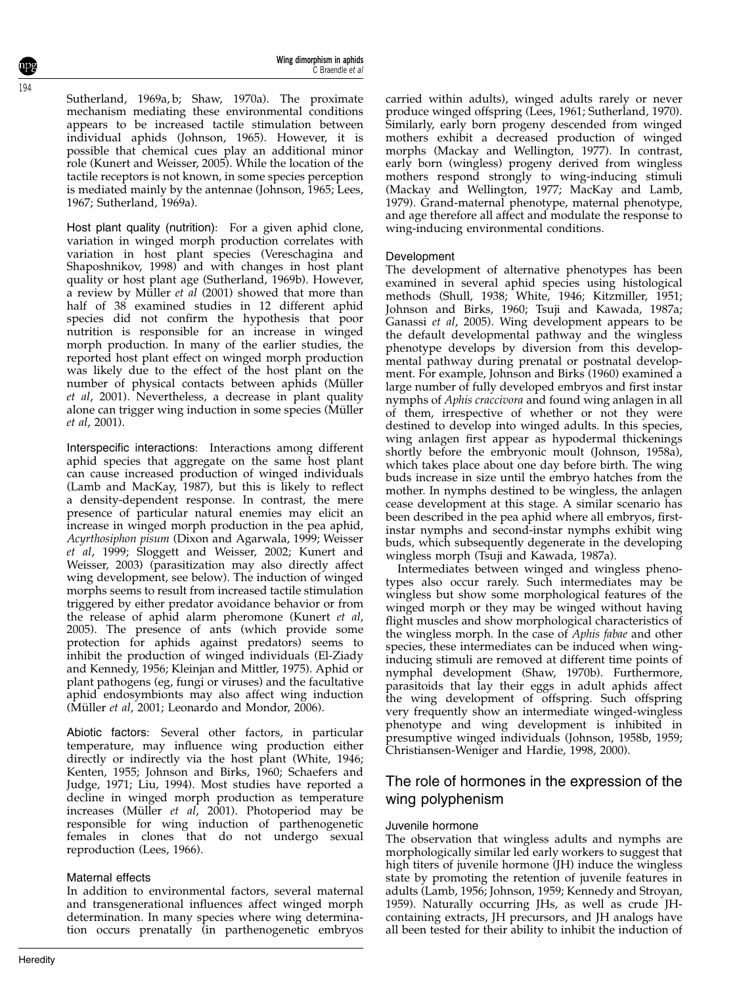194

Sutherland, 1969a, b; Shaw, 1970a). The proximate mechanism mediating these environmental conditions appears to be increased tactile stimulation between individual aphids (Johnson, 1965). However, it is possible that chemical cues play an additional minor role (Kunert and Weisser, 2005). While the location of the tactile receptors is not known, in some species perception is mediated mainly by the antennae (Johnson, 1965; Lees, 1967; Sutherland, 1969a).

Host plant quality (nutrition): For a given aphid clone, variation in winged morph production correlates with variation in host plant species (Vereschagina and Shaposhnikov, 1998) and with changes in host plant quality or host plant age (Sutherland, 1969b). However, a review by Müller  $et$   $al$  (2001) showed that more than half of 38 examined studies in 12 different aphid species did not confirm the hypothesis that poor nutrition is responsible for an increase in winged morph production. In many of the earlier studies, the reported host plant effect on winged morph production was likely due to the effect of the host plant on the number of physical contacts between aphids (Müller et al, 2001). Nevertheless, a decrease in plant quality alone can trigger wing induction in some species (Müller et al, 2001).

Interspecific interactions: Interactions among different aphid species that aggregate on the same host plant can cause increased production of winged individuals (Lamb and MacKay, 1987), but this is likely to reflect a density-dependent response. In contrast, the mere presence of particular natural enemies may elicit an increase in winged morph production in the pea aphid, Acyrthosiphon pisum (Dixon and Agarwala, 1999; Weisser et al, 1999; Sloggett and Weisser, 2002; Kunert and Weisser, 2003) (parasitization may also directly affect wing development, see below). The induction of winged morphs seems to result from increased tactile stimulation triggered by either predator avoidance behavior or from the release of aphid alarm pheromone (Kunert et al, 2005). The presence of ants (which provide some protection for aphids against predators) seems to inhibit the production of winged individuals (El-Ziady and Kennedy, 1956; Kleinjan and Mittler, 1975). Aphid or plant pathogens (eg, fungi or viruses) and the facultative aphid endosymbionts may also affect wing induction (Müller et al, 2001; Leonardo and Mondor, 2006).

Abiotic factors: Several other factors, in particular temperature, may influence wing production either directly or indirectly via the host plant (White, 1946; Kenten, 1955; Johnson and Birks, 1960; Schaefers and Judge, 1971; Liu, 1994). Most studies have reported a decline in winged morph production as temperature increases (Müller et al, 2001). Photoperiod may be responsible for wing induction of parthenogenetic females in clones that do not undergo sexual reproduction (Lees, 1966).

#### Maternal effects

In addition to environmental factors, several maternal and transgenerational influences affect winged morph determination. In many species where wing determination occurs prenatally (in parthenogenetic embryos

carried within adults), winged adults rarely or never produce winged offspring (Lees, 1961; Sutherland, 1970). Similarly, early born progeny descended from winged mothers exhibit a decreased production of winged morphs (Mackay and Wellington, 1977). In contrast, early born (wingless) progeny derived from wingless mothers respond strongly to wing-inducing stimuli (Mackay and Wellington, 1977; MacKay and Lamb, 1979). Grand-maternal phenotype, maternal phenotype, and age therefore all affect and modulate the response to wing-inducing environmental conditions.

#### Development

The development of alternative phenotypes has been examined in several aphid species using histological methods (Shull, 1938; White, 1946; Kitzmiller, 1951; Johnson and Birks, 1960; Tsuji and Kawada, 1987a; Ganassi et al, 2005). Wing development appears to be the default developmental pathway and the wingless phenotype develops by diversion from this developmental pathway during prenatal or postnatal development. For example, Johnson and Birks (1960) examined a large number of fully developed embryos and first instar nymphs of Aphis craccivora and found wing anlagen in all of them, irrespective of whether or not they were destined to develop into winged adults. In this species, wing anlagen first appear as hypodermal thickenings shortly before the embryonic moult (Johnson, 1958a), which takes place about one day before birth. The wing buds increase in size until the embryo hatches from the mother. In nymphs destined to be wingless, the anlagen cease development at this stage. A similar scenario has been described in the pea aphid where all embryos, firstinstar nymphs and second-instar nymphs exhibit wing buds, which subsequently degenerate in the developing wingless morph (Tsuji and Kawada, 1987a).

Intermediates between winged and wingless phenotypes also occur rarely. Such intermediates may be wingless but show some morphological features of the winged morph or they may be winged without having flight muscles and show morphological characteristics of the wingless morph. In the case of Aphis fabae and other species, these intermediates can be induced when winginducing stimuli are removed at different time points of nymphal development (Shaw, 1970b). Furthermore, parasitoids that lay their eggs in adult aphids affect the wing development of offspring. Such offspring very frequently show an intermediate winged-wingless phenotype and wing development is inhibited in presumptive winged individuals (Johnson, 1958b, 1959; Christiansen-Weniger and Hardie, 1998, 2000).

## The role of hormones in the expression of the wing polyphenism

#### Juvenile hormone

The observation that wingless adults and nymphs are morphologically similar led early workers to suggest that high titers of juvenile hormone (JH) induce the wingless state by promoting the retention of juvenile features in adults (Lamb, 1956; Johnson, 1959; Kennedy and Stroyan, 1959). Naturally occurring JHs, as well as crude JHcontaining extracts, JH precursors, and JH analogs have all been tested for their ability to inhibit the induction of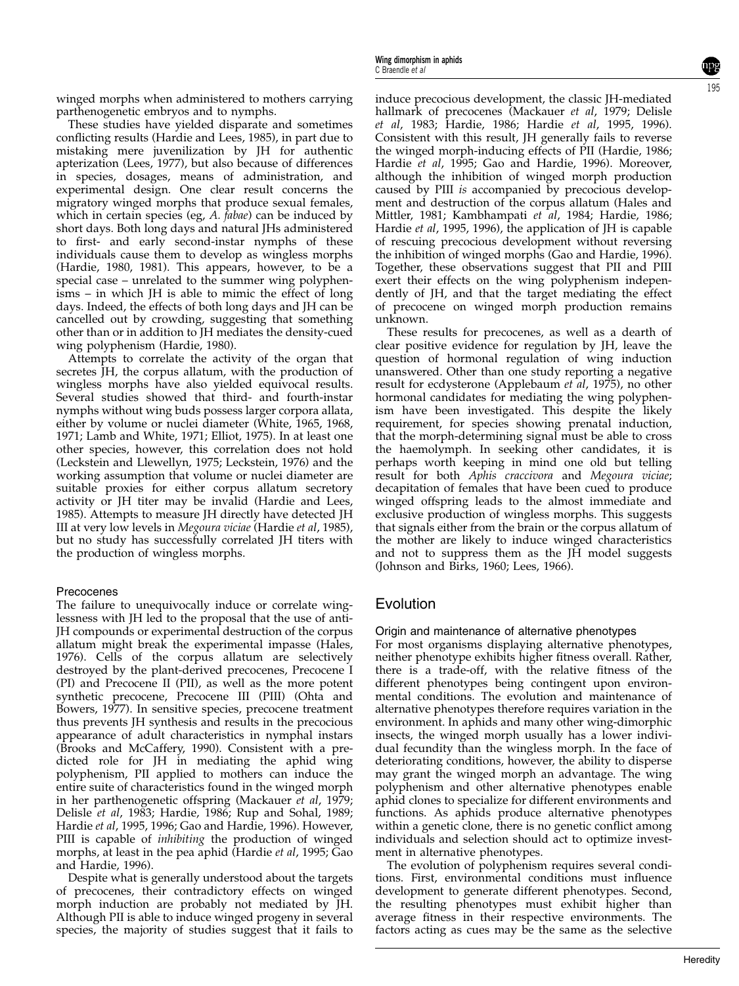winged morphs when administered to mothers carrying parthenogenetic embryos and to nymphs.

These studies have yielded disparate and sometimes conflicting results (Hardie and Lees, 1985), in part due to mistaking mere juvenilization by JH for authentic apterization (Lees, 1977), but also because of differences in species, dosages, means of administration, and experimental design. One clear result concerns the migratory winged morphs that produce sexual females, which in certain species (eg,  $A$ . *fabae*) can be induced by short days. Both long days and natural JHs administered to first- and early second-instar nymphs of these individuals cause them to develop as wingless morphs (Hardie, 1980, 1981). This appears, however, to be a special case – unrelated to the summer wing polyphenisms – in which JH is able to mimic the effect of long days. Indeed, the effects of both long days and JH can be cancelled out by crowding, suggesting that something other than or in addition to JH mediates the density-cued wing polyphenism (Hardie, 1980).

Attempts to correlate the activity of the organ that secretes JH, the corpus allatum, with the production of wingless morphs have also yielded equivocal results. Several studies showed that third- and fourth-instar nymphs without wing buds possess larger corpora allata, either by volume or nuclei diameter (White, 1965, 1968, 1971; Lamb and White, 1971; Elliot, 1975). In at least one other species, however, this correlation does not hold (Leckstein and Llewellyn, 1975; Leckstein, 1976) and the working assumption that volume or nuclei diameter are suitable proxies for either corpus allatum secretory activity or JH titer may be invalid (Hardie and Lees, 1985). Attempts to measure JH directly have detected JH III at very low levels in Megoura viciae (Hardie et al, 1985), but no study has successfully correlated JH titers with the production of wingless morphs.

### Precocenes

The failure to unequivocally induce or correlate winglessness with JH led to the proposal that the use of anti-JH compounds or experimental destruction of the corpus allatum might break the experimental impasse (Hales, 1976). Cells of the corpus allatum are selectively destroyed by the plant-derived precocenes, Precocene I (PI) and Precocene II (PII), as well as the more potent synthetic precocene, Precocene III (PIII) (Ohta and Bowers, 1977). In sensitive species, precocene treatment thus prevents JH synthesis and results in the precocious appearance of adult characteristics in nymphal instars (Brooks and McCaffery, 1990). Consistent with a predicted role for JH in mediating the aphid wing polyphenism, PII applied to mothers can induce the entire suite of characteristics found in the winged morph in her parthenogenetic offspring (Mackauer et al, 1979; Delisle et al, 1983; Hardie, 1986; Rup and Sohal, 1989; Hardie et al, 1995, 1996; Gao and Hardie, 1996). However, PIII is capable of *inhibiting* the production of winged morphs, at least in the pea aphid (Hardie et al, 1995; Gao and Hardie, 1996).

Despite what is generally understood about the targets of precocenes, their contradictory effects on winged morph induction are probably not mediated by JH. Although PII is able to induce winged progeny in several species, the majority of studies suggest that it fails to induce precocious development, the classic JH-mediated hallmark of precocenes (Mackauer et al, 1979; Delisle et al, 1983; Hardie, 1986; Hardie et al, 1995, 1996). Consistent with this result, JH generally fails to reverse the winged morph-inducing effects of PII (Hardie, 1986; Hardie et al, 1995; Gao and Hardie, 1996). Moreover, although the inhibition of winged morph production caused by PIII is accompanied by precocious development and destruction of the corpus allatum (Hales and Mittler, 1981; Kambhampati et al, 1984; Hardie, 1986; Hardie et al, 1995, 1996), the application of JH is capable of rescuing precocious development without reversing the inhibition of winged morphs (Gao and Hardie, 1996). Together, these observations suggest that PII and PIII exert their effects on the wing polyphenism independently of JH, and that the target mediating the effect of precocene on winged morph production remains unknown.

These results for precocenes, as well as a dearth of clear positive evidence for regulation by JH, leave the question of hormonal regulation of wing induction unanswered. Other than one study reporting a negative result for ecdysterone (Applebaum et al, 1975), no other hormonal candidates for mediating the wing polyphenism have been investigated. This despite the likely requirement, for species showing prenatal induction, that the morph-determining signal must be able to cross the haemolymph. In seeking other candidates, it is perhaps worth keeping in mind one old but telling result for both Aphis craccivora and Megoura viciae; decapitation of females that have been cued to produce winged offspring leads to the almost immediate and exclusive production of wingless morphs. This suggests that signals either from the brain or the corpus allatum of the mother are likely to induce winged characteristics and not to suppress them as the JH model suggests (Johnson and Birks, 1960; Lees, 1966).

# Evolution

## Origin and maintenance of alternative phenotypes

For most organisms displaying alternative phenotypes, neither phenotype exhibits higher fitness overall. Rather, there is a trade-off, with the relative fitness of the different phenotypes being contingent upon environmental conditions. The evolution and maintenance of alternative phenotypes therefore requires variation in the environment. In aphids and many other wing-dimorphic insects, the winged morph usually has a lower individual fecundity than the wingless morph. In the face of deteriorating conditions, however, the ability to disperse may grant the winged morph an advantage. The wing polyphenism and other alternative phenotypes enable aphid clones to specialize for different environments and functions. As aphids produce alternative phenotypes within a genetic clone, there is no genetic conflict among individuals and selection should act to optimize investment in alternative phenotypes.

The evolution of polyphenism requires several conditions. First, environmental conditions must influence development to generate different phenotypes. Second, the resulting phenotypes must exhibit higher than average fitness in their respective environments. The factors acting as cues may be the same as the selective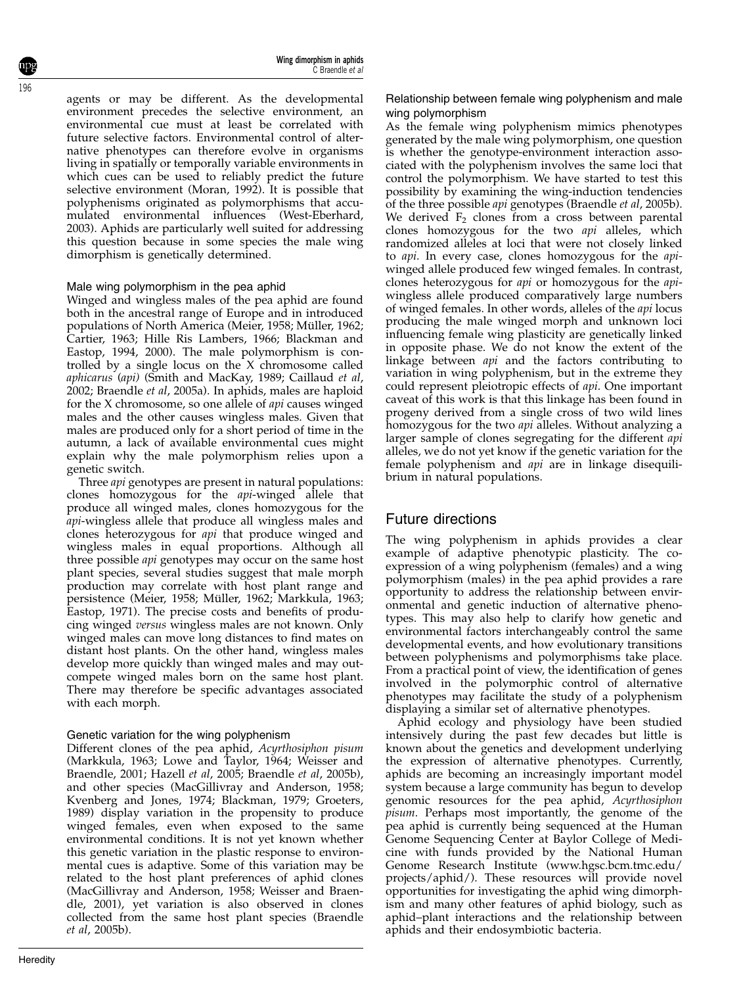196

agents or may be different. As the developmental environment precedes the selective environment, an environmental cue must at least be correlated with future selective factors. Environmental control of alternative phenotypes can therefore evolve in organisms living in spatially or temporally variable environments in which cues can be used to reliably predict the future selective environment (Moran, 1992). It is possible that polyphenisms originated as polymorphisms that accumulated environmental influences (West-Eberhard, 2003). Aphids are particularly well suited for addressing this question because in some species the male wing dimorphism is genetically determined.

#### Male wing polymorphism in the pea aphid

Winged and wingless males of the pea aphid are found both in the ancestral range of Europe and in introduced populations of North America (Meier, 1958; Müller, 1962; Cartier, 1963; Hille Ris Lambers, 1966; Blackman and Eastop, 1994, 2000). The male polymorphism is controlled by a single locus on the X chromosome called aphicarus (api) (Smith and MacKay, 1989; Caillaud et al, 2002; Braendle et al, 2005a). In aphids, males are haploid for the X chromosome, so one allele of api causes winged males and the other causes wingless males. Given that males are produced only for a short period of time in the autumn, a lack of available environmental cues might explain why the male polymorphism relies upon a genetic switch.

Three api genotypes are present in natural populations: clones homozygous for the api-winged allele that produce all winged males, clones homozygous for the api-wingless allele that produce all wingless males and clones heterozygous for api that produce winged and wingless males in equal proportions. Although all three possible api genotypes may occur on the same host plant species, several studies suggest that male morph production may correlate with host plant range and persistence (Meier, 1958; Müller, 1962; Markkula, 1963; Eastop, 1971). The precise costs and benefits of producing winged versus wingless males are not known. Only winged males can move long distances to find mates on distant host plants. On the other hand, wingless males develop more quickly than winged males and may outcompete winged males born on the same host plant. There may therefore be specific advantages associated with each morph.

#### Genetic variation for the wing polyphenism

Different clones of the pea aphid, Acyrthosiphon pisum (Markkula, 1963; Lowe and Taylor, 1964; Weisser and Braendle, 2001; Hazell et al, 2005; Braendle et al, 2005b), and other species (MacGillivray and Anderson, 1958; Kvenberg and Jones, 1974; Blackman, 1979; Groeters, 1989) display variation in the propensity to produce winged females, even when exposed to the same environmental conditions. It is not yet known whether this genetic variation in the plastic response to environmental cues is adaptive. Some of this variation may be related to the host plant preferences of aphid clones (MacGillivray and Anderson, 1958; Weisser and Braendle, 2001), yet variation is also observed in clones collected from the same host plant species (Braendle et al, 2005b).

#### Relationship between female wing polyphenism and male wing polymorphism

As the female wing polyphenism mimics phenotypes generated by the male wing polymorphism, one question is whether the genotype-environment interaction associated with the polyphenism involves the same loci that control the polymorphism. We have started to test this possibility by examining the wing-induction tendencies of the three possible api genotypes (Braendle et al, 2005b). We derived  $F_2$  clones from a cross between parental clones homozygous for the two api alleles, which randomized alleles at loci that were not closely linked to api. In every case, clones homozygous for the apiwinged allele produced few winged females. In contrast, clones heterozygous for api or homozygous for the apiwingless allele produced comparatively large numbers of winged females. In other words, alleles of the api locus producing the male winged morph and unknown loci influencing female wing plasticity are genetically linked in opposite phase. We do not know the extent of the linkage between api and the factors contributing to variation in wing polyphenism, but in the extreme they could represent pleiotropic effects of api. One important caveat of this work is that this linkage has been found in progeny derived from a single cross of two wild lines homozygous for the two api alleles. Without analyzing a larger sample of clones segregating for the different api alleles, we do not yet know if the genetic variation for the female polyphenism and api are in linkage disequilibrium in natural populations.

## Future directions

The wing polyphenism in aphids provides a clear example of adaptive phenotypic plasticity. The coexpression of a wing polyphenism (females) and a wing polymorphism (males) in the pea aphid provides a rare opportunity to address the relationship between environmental and genetic induction of alternative phenotypes. This may also help to clarify how genetic and environmental factors interchangeably control the same developmental events, and how evolutionary transitions between polyphenisms and polymorphisms take place. From a practical point of view, the identification of genes involved in the polymorphic control of alternative phenotypes may facilitate the study of a polyphenism displaying a similar set of alternative phenotypes.

Aphid ecology and physiology have been studied intensively during the past few decades but little is known about the genetics and development underlying the expression of alternative phenotypes. Currently, aphids are becoming an increasingly important model system because a large community has begun to develop genomic resources for the pea aphid, Acyrthosiphon pisum. Perhaps most importantly, the genome of the pea aphid is currently being sequenced at the Human Genome Sequencing Center at Baylor College of Medicine with funds provided by the National Human Genome Research Institute (www.hgsc.bcm.tmc.edu/ projects/aphid/). These resources will provide novel opportunities for investigating the aphid wing dimorphism and many other features of aphid biology, such as aphid–plant interactions and the relationship between aphids and their endosymbiotic bacteria.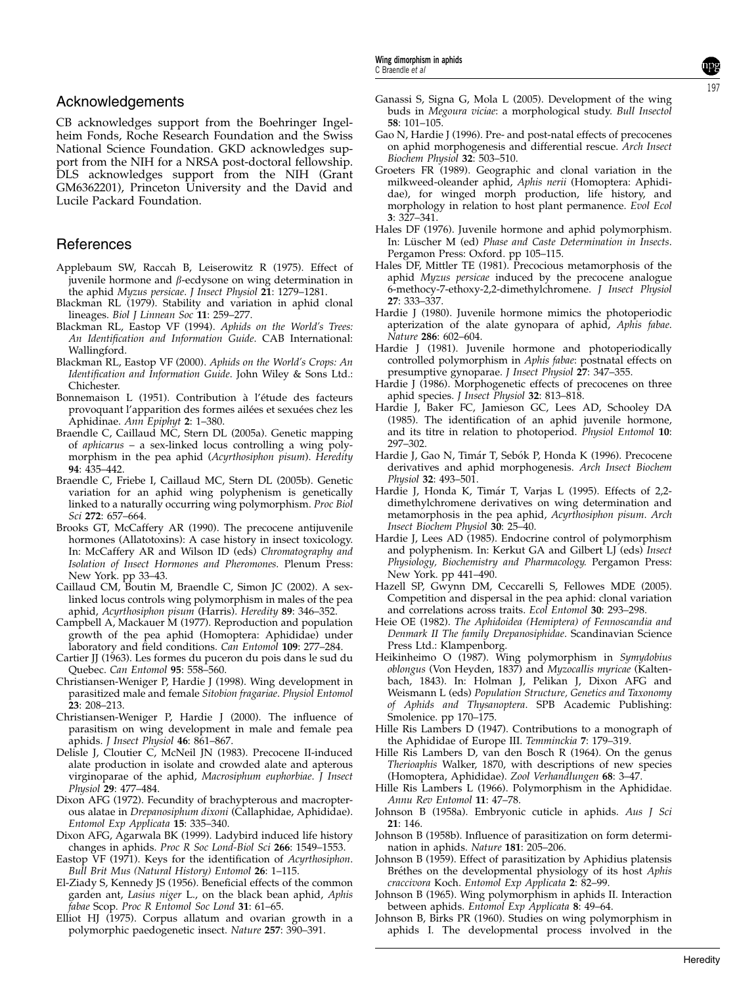#### Acknowledgements

CB acknowledges support from the Boehringer Ingelheim Fonds, Roche Research Foundation and the Swiss National Science Foundation. GKD acknowledges support from the NIH for a NRSA post-doctoral fellowship. DLS acknowledges support from the NIH (Grant GM6362201), Princeton University and the David and Lucile Packard Foundation.

### References

- Applebaum SW, Raccah B, Leiserowitz R (1975). Effect of juvenile hormone and  $\beta$ -ecdysone on wing determination in the aphid Myzus persicae. J Insect Physiol 21: 1279–1281.
- Blackman RL (1979). Stability and variation in aphid clonal lineages. Biol J Linnean Soc 11: 259-277.
- Blackman RL, Eastop VF (1994). Aphids on the World's Trees: An Identification and Information Guide. CAB International: Wallingford.
- Blackman RL, Eastop VF (2000). Aphids on the World's Crops: An Identification and Information Guide. John Wiley & Sons Ltd.: Chichester.
- Bonnemaison L (1951). Contribution à l'étude des facteurs provoquant l'apparition des formes ailées et sexuées chez les Aphidinae. Ann Epiphyt 2: 1–380.
- Braendle C, Caillaud MC, Stern DL (2005a). Genetic mapping of aphicarus – a sex-linked locus controlling a wing polymorphism in the pea aphid (Acyrthosiphon pisum). Heredity 94: 435–442.
- Braendle C, Friebe I, Caillaud MC, Stern DL (2005b). Genetic variation for an aphid wing polyphenism is genetically linked to a naturally occurring wing polymorphism. Proc Biol Sci 272: 657–664.
- Brooks GT, McCaffery AR (1990). The precocene antijuvenile hormones (Allatotoxins): A case history in insect toxicology. In: McCaffery AR and Wilson ID (eds) Chromatography and Isolation of Insect Hormones and Pheromones. Plenum Press: New York. pp 33–43.
- Caillaud CM, Boutin M, Braendle C, Simon JC (2002). A sexlinked locus controls wing polymorphism in males of the pea aphid, Acyrthosiphon pisum (Harris). Heredity 89: 346–352.
- Campbell A, Mackauer M (1977). Reproduction and population growth of the pea aphid (Homoptera: Aphididae) under laboratory and field conditions. Can Entomol 109: 277–284.
- Cartier JJ (1963). Les formes du puceron du pois dans le sud du Quebec. Can Entomol 95: 558–560.
- Christiansen-Weniger P, Hardie J (1998). Wing development in parasitized male and female Sitobion fragariae. Physiol Entomol 23: 208–213.
- Christiansen-Weniger P, Hardie J (2000). The influence of parasitism on wing development in male and female pea aphids. J Insect Physiol 46: 861-867.
- Delisle J, Cloutier C, McNeil JN (1983). Precocene II-induced alate production in isolate and crowded alate and apterous virginoparae of the aphid, Macrosiphum euphorbiae. J Insect Physiol 29: 477–484.
- Dixon AFG (1972). Fecundity of brachypterous and macropterous alatae in Drepanosiphum dixoni (Callaphidae, Aphididae). Entomol Exp Applicata 15: 335–340.
- Dixon AFG, Agarwala BK (1999). Ladybird induced life history changes in aphids. Proc R Soc Lond-Biol Sci 266: 1549–1553.
- Eastop VF (1971). Keys for the identification of Acyrthosiphon. Bull Brit Mus (Natural History) Entomol 26: 1–115.
- El-Ziady S, Kennedy JS (1956). Beneficial effects of the common garden ant, Lasius niger L., on the black bean aphid, Aphis fabae Scop. Proc R Entomol Soc Lond 31: 61–65.
- Elliot HJ (1975). Corpus allatum and ovarian growth in a polymorphic paedogenetic insect. Nature 257: 390-391.
- Ganassi S, Signa G, Mola L (2005). Development of the wing buds in Megoura viciae: a morphological study. Bull Insectol 58: 101–105.
- Gao N, Hardie J (1996). Pre- and post-natal effects of precocenes on aphid morphogenesis and differential rescue. Arch Insect Biochem Physiol 32: 503–510.
- Groeters FR (1989). Geographic and clonal variation in the milkweed-oleander aphid, Aphis nerii (Homoptera: Aphididae), for winged morph production, life history, and morphology in relation to host plant permanence. Evol Ecol 3: 327–341.
- Hales DF (1976). Juvenile hormone and aphid polymorphism. In: Lüscher M (ed) Phase and Caste Determination in Insects. Pergamon Press: Oxford. pp 105–115.
- Hales DF, Mittler TE (1981). Precocious metamorphosis of the aphid Myzus persicae induced by the precocene analogue 6-methocy-7-ethoxy-2,2-dimethylchromene. J Insect Physiol 27: 333–337.
- Hardie J (1980). Juvenile hormone mimics the photoperiodic apterization of the alate gynopara of aphid, Aphis fabae. Nature 286: 602–604.
- Hardie J (1981). Juvenile hormone and photoperiodically controlled polymorphism in Aphis fabae: postnatal effects on presumptive gynoparae. J Insect Physiol 27: 347-355.
- Hardie J (1986). Morphogenetic effects of precocenes on three aphid species. J Insect Physiol 32: 813–818.
- Hardie J, Baker FC, Jamieson GC, Lees AD, Schooley DA (1985). The identification of an aphid juvenile hormone, and its titre in relation to photoperiod. Physiol Entomol 10: 297–302.
- Hardie J, Gao N, Timár T, Sebók P, Honda K (1996). Precocene derivatives and aphid morphogenesis. Arch Insect Biochem Physiol 32: 493–501.
- Hardie J, Honda K, Timár T, Varjas L (1995). Effects of 2,2dimethylchromene derivatives on wing determination and metamorphosis in the pea aphid, Acyrthosiphon pisum. Arch Insect Biochem Physiol 30: 25–40.
- Hardie J, Lees AD (1985). Endocrine control of polymorphism and polyphenism. In: Kerkut GA and Gilbert LJ (eds) Insect Physiology, Biochemistry and Pharmacology. Pergamon Press: New York. pp 441–490.
- Hazell SP, Gwynn DM, Ceccarelli S, Fellowes MDE (2005). Competition and dispersal in the pea aphid: clonal variation and correlations across traits. Ecol Entomol 30: 293–298.
- Heie OE (1982). The Aphidoidea (Hemiptera) of Fennoscandia and Denmark II The family Drepanosiphidae. Scandinavian Science Press Ltd.: Klampenborg.
- Heikinheimo O (1987). Wing polymorphism in Symydobius oblongus (Von Heyden, 1837) and Myzocallis myricae (Kaltenbach, 1843). In: Holman J, Pelikan J, Dixon AFG and Weismann L (eds) Population Structure, Genetics and Taxonomy of Aphids and Thysanoptera. SPB Academic Publishing: Smolenice. pp 170–175.
- Hille Ris Lambers D (1947). Contributions to a monograph of the Aphididae of Europe III. Temminckia 7: 179–319.
- Hille Ris Lambers D, van den Bosch R (1964). On the genus Therioaphis Walker, 1870, with descriptions of new species (Homoptera, Aphididae). Zool Verhandlungen 68: 3–47.
- Hille Ris Lambers L (1966). Polymorphism in the Aphididae. Annu Rev Entomol 11: 47–78.
- Johnson B (1958a). Embryonic cuticle in aphids. Aus J Sci 21: 146.
- Johnson B (1958b). Influence of parasitization on form determination in aphids. Nature 181: 205–206.
- Johnson B (1959). Effect of parasitization by Aphidius platensis Bréthes on the developmental physiology of its host Aphis craccivora Koch. Entomol Exp Applicata 2: 82–99.
- Johnson B (1965). Wing polymorphism in aphids II. Interaction between aphids. Entomol Exp Applicata 8: 49–64.
- Johnson B, Birks PR (1960). Studies on wing polymorphism in aphids I. The developmental process involved in the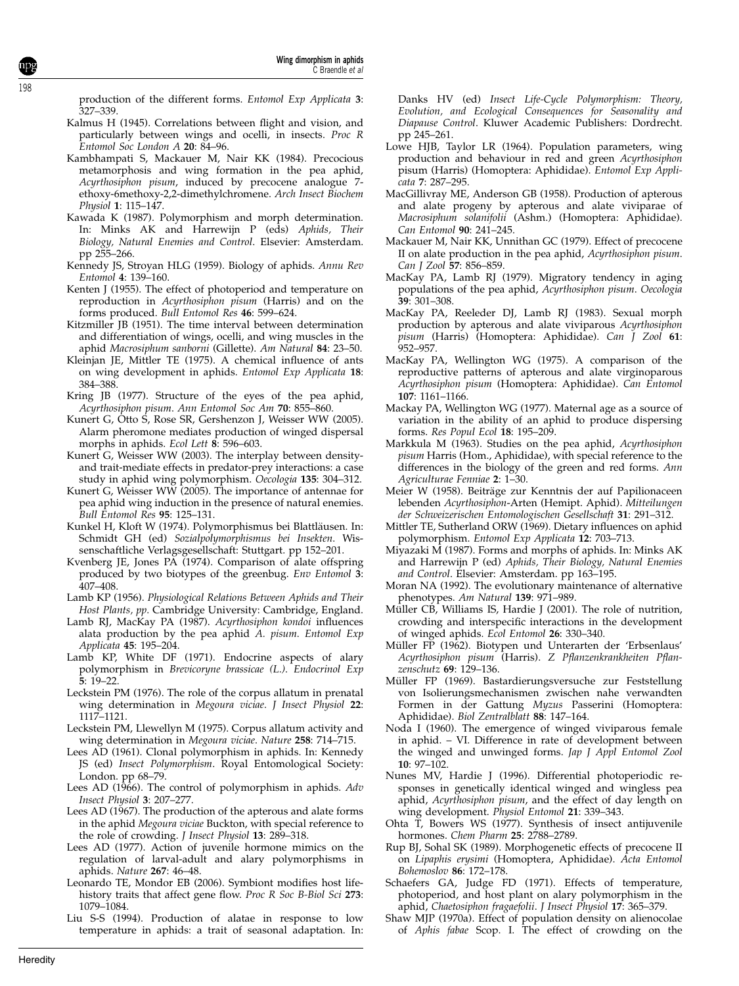Wing dimorphism in aphids C Braendle et al

production of the different forms. Entomol Exp Applicata 3: 327–339.

- Kalmus H (1945). Correlations between flight and vision, and particularly between wings and ocelli, in insects. Proc R Entomol Soc London A 20: 84–96.
- Kambhampati S, Mackauer M, Nair KK (1984). Precocious metamorphosis and wing formation in the pea aphid, Acyrthosiphon pisum, induced by precocene analogue 7ethoxy-6methoxy-2,2-dimethylchromene. Arch Insect Biochem Physiol 1: 115–147.
- Kawada K (1987). Polymorphism and morph determination. In: Minks AK and Harrewijn P (eds) Aphids, Their Biology, Natural Enemies and Control. Elsevier: Amsterdam. pp 255–266.
- Kennedy JS, Stroyan HLG (1959). Biology of aphids. Annu Rev Entomol 4: 139–160.
- Kenten J (1955). The effect of photoperiod and temperature on reproduction in Acyrthosiphon pisum (Harris) and on the forms produced. Bull Entomol Res 46: 599–624.
- Kitzmiller JB (1951). The time interval between determination and differentiation of wings, ocelli, and wing muscles in the aphid Macrosiphum sanborni (Gillette). Am Natural 84: 23-50.
- Kleinjan JE, Mittler TE (1975). A chemical influence of ants on wing development in aphids. Entomol Exp Applicata 18: 384–388.
- Kring JB (1977). Structure of the eyes of the pea aphid, Acyrthosiphon pisum. Ann Entomol Soc Am 70: 855–860.
- Kunert G, Otto S, Rose SR, Gershenzon J, Weisser WW (2005). Alarm pheromone mediates production of winged dispersal morphs in aphids. Ecol Lett 8: 596–603.
- Kunert G, Weisser WW (2003). The interplay between densityand trait-mediate effects in predator-prey interactions: a case study in aphid wing polymorphism. Oecologia 135: 304–312.
- Kunert G, Weisser WW (2005). The importance of antennae for pea aphid wing induction in the presence of natural enemies. Bull Entomol Res 95: 125–131.
- Kunkel H, Kloft W (1974). Polymorphismus bei Blattläusen. In: Schmidt GH (ed) Sozialpolymorphismus bei Insekten. Wissenschaftliche Verlagsgesellschaft: Stuttgart. pp 152–201.
- Kvenberg JE, Jones PA (1974). Comparison of alate offspring produced by two biotypes of the greenbug. Env Entomol 3: 407–408.
- Lamb KP (1956). Physiological Relations Between Aphids and Their Host Plants, pp. Cambridge University: Cambridge, England.
- Lamb RJ, MacKay PA (1987). Acyrthosiphon kondoi influences alata production by the pea aphid A. pisum. Entomol Exp Applicata 45: 195–204.
- Lamb KP, White DF (1971). Endocrine aspects of alary polymorphism in Brevicoryne brassicae (L.). Endocrinol Exp 5: 19–22.
- Leckstein PM (1976). The role of the corpus allatum in prenatal wing determination in Megoura viciae. J Insect Physiol 22: 1117–1121.
- Leckstein PM, Llewellyn M (1975). Corpus allatum activity and wing determination in Megoura viciae. Nature 258: 714–715.
- Lees AD (1961). Clonal polymorphism in aphids. In: Kennedy JS (ed) Insect Polymorphism. Royal Entomological Society: London. pp 68–79.
- Lees AD (1966). The control of polymorphism in aphids. Adv Insect Physiol 3: 207–277.
- Lees AD (1967). The production of the apterous and alate forms in the aphid Megoura viciae Buckton, with special reference to the role of crowding. *J Insect Physiol* 13: 289-318.
- Lees AD (1977). Action of juvenile hormone mimics on the regulation of larval-adult and alary polymorphisms in aphids. Nature 267: 46–48.
- Leonardo TE, Mondor EB (2006). Symbiont modifies host lifehistory traits that affect gene flow. Proc R Soc B-Biol Sci 273: 1079–1084.
- Liu S-S (1994). Production of alatae in response to low temperature in aphids: a trait of seasonal adaptation. In:

Danks HV (ed) Insect Life-Cycle Polymorphism: Theory, Evolution, and Ecological Consequences for Seasonality and Diapause Control. Kluwer Academic Publishers: Dordrecht. pp 245–261.

- Lowe HJB, Taylor LR (1964). Population parameters, wing production and behaviour in red and green Acyrthosiphon pisum (Harris) (Homoptera: Aphididae). Entomol Exp Applicata 7: 287–295.
- MacGillivray ME, Anderson GB (1958). Production of apterous and alate progeny by apterous and alate viviparae of Macrosiphum solanifolii (Ashm.) (Homoptera: Aphididae). Can Entomol 90: 241–245.
- Mackauer M, Nair KK, Unnithan GC (1979). Effect of precocene II on alate production in the pea aphid, Acyrthosiphon pisum. Can J Zool 57: 856-859
- MacKay PA, Lamb RJ (1979). Migratory tendency in aging populations of the pea aphid, Acyrthosiphon pisum. Oecologia 39: 301–308.
- MacKay PA, Reeleder DJ, Lamb RJ (1983). Sexual morph production by apterous and alate viviparous Acyrthosiphon pisum (Harris) (Homoptera: Aphididae). Can J Zool 61: 952–957.
- MacKay PA, Wellington WG (1975). A comparison of the reproductive patterns of apterous and alate virginoparous Acyrthosiphon pisum (Homoptera: Aphididae). Can Entomol 107: 1161–1166.
- Mackay PA, Wellington WG (1977). Maternal age as a source of variation in the ability of an aphid to produce dispersing forms. Res Popul Ecol 18: 195–209.
- Markkula M (1963). Studies on the pea aphid, Acyrthosiphon pisum Harris (Hom., Aphididae), with special reference to the differences in the biology of the green and red forms. Ann Agriculturae Fenniae 2: 1–30.
- Meier W (1958). Beiträge zur Kenntnis der auf Papilionaceen lebenden Acyrthosiphon-Arten (Hemipt. Aphid). Mitteilungen der Schweizerischen Entomologischen Gesellschaft 31: 291–312.
- Mittler TE, Sutherland ORW (1969). Dietary influences on aphid polymorphism. Entomol Exp Applicata 12: 703–713.
- Miyazaki M (1987). Forms and morphs of aphids. In: Minks AK and Harrewijn P (ed) Aphids, Their Biology, Natural Enemies and Control. Elsevier: Amsterdam. pp 163–195.
- Moran NA (1992). The evolutionary maintenance of alternative phenotypes. Am Natural 139: 971–989.
- Müller CB, Williams IS, Hardie J (2001). The role of nutrition, crowding and interspecific interactions in the development of winged aphids. Ecol Entomol 26: 330-340.
- Müller FP (1962). Biotypen und Unterarten der 'Erbsenlaus' Acyrthosiphon pisum (Harris). Z Pflanzenkrankheiten Pflanzenschutz 69: 129–136.
- Müller FP (1969). Bastardierungsversuche zur Feststellung von Isolierungsmechanismen zwischen nahe verwandten Formen in der Gattung Myzus Passerini (Homoptera: Aphididae). Biol Zentralblatt 88: 147–164.
- Noda I (1960). The emergence of winged viviparous female in aphid. – VI. Difference in rate of development between the winged and unwinged forms. Jap J Appl Entomol Zool 10: 97–102.
- Nunes MV, Hardie J (1996). Differential photoperiodic responses in genetically identical winged and wingless pea aphid, Acyrthosiphon pisum, and the effect of day length on wing development. Physiol Entomol 21: 339–343.
- Ohta T, Bowers WS (1977). Synthesis of insect antijuvenile hormones. Chem Pharm 25: 2788–2789.
- Rup BJ, Sohal SK (1989). Morphogenetic effects of precocene II on Lipaphis erysimi (Homoptera, Aphididae). Acta Entomol Bohemoslov 86: 172–178.
- Schaefers GA, Judge FD (1971). Effects of temperature, photoperiod, and host plant on alary polymorphism in the aphid, Chaetosiphon fragaefolii. J Insect Physiol 17: 365–379.
- Shaw MJP (1970a). Effect of population density on alienocolae of Aphis fabae Scop. I. The effect of crowding on the